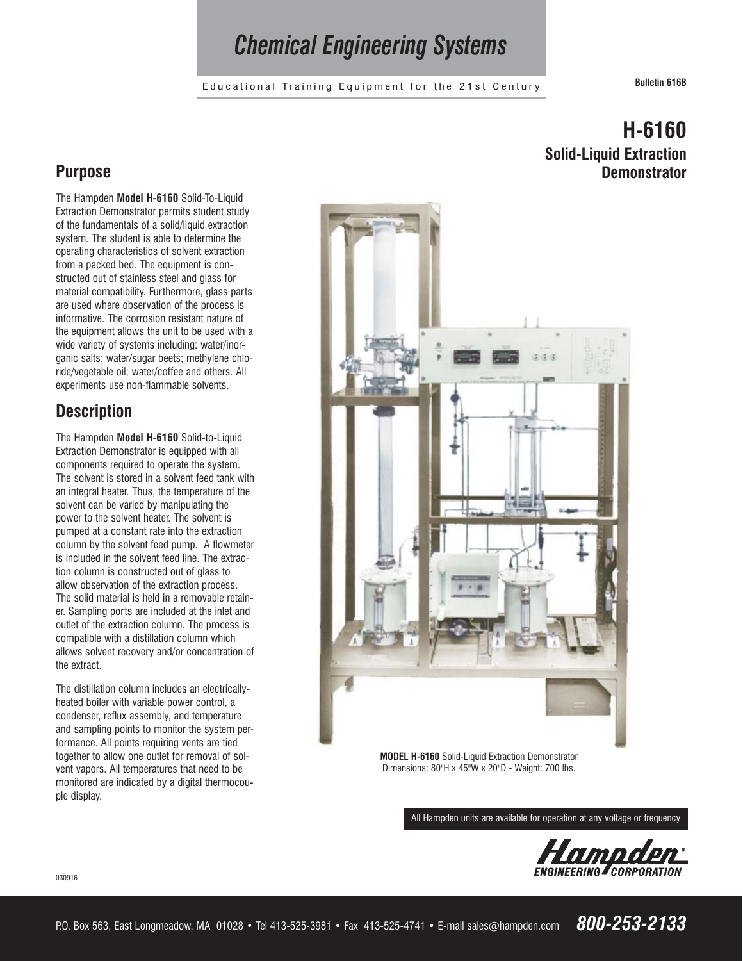# *Chemical Engineering Systems*

Educational Training Equipment for the 21st Century **Bulletin 616B**

**H-6160**

**Demonstrator**

**Solid-Liquid Extraction**

### **Purpose**

The Hampden **Model H-6160** Solid-To-Liquid Extraction Demonstrator permits student study of the fundamentals of a solid/liquid extraction system. The student is able to determine the operating characteristics of solvent extraction from a packed bed. The equipment is constructed out of stainless steel and glass for material compatibility. Furthermore, glass parts are used where observation of the process is informative. The corrosion resistant nature of the equipment allows the unit to be used with a wide variety of systems including: water/inorganic salts; water/sugar beets; methylene chloride/vegetable oil; water/coffee and others. All experiments use non-flammable solvents.

## **Description**

The Hampden **Model H-6160** Solid-to-Liquid Extraction Demonstrator is equipped with all components required to operate the system. The solvent is stored in a solvent feed tank with an integral heater. Thus, the temperature of the solvent can be varied by manipulating the power to the solvent heater. The solvent is pumped at a constant rate into the extraction column by the solvent feed pump. A flowmeter is included in the solvent feed line. The extraction column is constructed out of glass to allow observation of the extraction process. The solid material is held in a removable retainer. Sampling ports are included at the inlet and outlet of the extraction column. The process is compatible with a distillation column which allows solvent recovery and/or concentration of the extract.

The distillation column includes an electricallyheated boiler with variable power control, a condenser, reflux assembly, and temperature and sampling points to monitor the system performance. All points requiring vents are tied together to allow one outlet for removal of solvent vapors. All temperatures that need to be monitored are indicated by a digital thermocouple display.



**MODEL H-6160** Solid-Liquid Extraction Demonstrator Dimensions: 80"H x 45"W x 20"D - Weight: 700 lbs.

All Hampden units are available for operation at any voltage or frequency